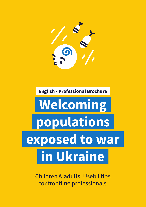

English - Professional Brochure

# **Welcoming populations exposed to war in Ukraine**

Children & adults: Useful tips for frontline professionals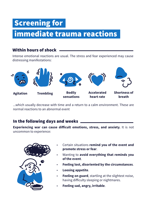### Screening for

### immediate trauma reactions

### Within hours of shock

Intense emotional reactions are usual. The stress and fear experienced may cause distressing manifestations:



...which usually decrease with time and a return to a calm environment. These are normal reactions to an abnormal event

### In the following days and weeks

**Experiencing war can cause difficult emotions, stress, and anxiety.** It is not uncommon to experience:



- Certain situations **remind you of the event and promote stress or fear**.
- Wanting to **avoid everything that reminds you of the event**.
- **Feeling lost, disoriented by the circumstances**.
- **Loosing appetite**.
- **Feeling on guard**, startling at the slightest noise, having difficulty sleeping or nightmares.
- **Feeling sad, angry, irritable**.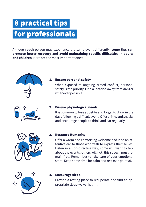# 8 practical tips for professionals

Although each person may experience the same event differently, **some tips can promote better recovery and avoid maintaining specific difficulties in adults and children**. Here are the most important ones:



#### 1. Ensure personal safety

When exposed to ongoing armed conflict, personal safety is the priority. Find a location away from danger whenever possible.

#### 2. Ensure physiological needs

It is common to lose appetite and forget to drink in the days following a difficult event. Offer drinks and snacks and encourage people to drink and eat regularly.



#### 3. Restaure Humanity

Offer a warm and comforting welcome and lend an attentive ear to those who wish to express themselves. Listen in a non-directive way; some will want to talk about the events, others will not; this speech must remain free. Remember to take care of your emotional state. Keep some time for calm and rest (see point 8).



#### 4. Encourage sleep

Provide a resting place to recuperate and find an appropriate sleep-wake rhythm.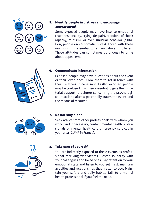

#### 5. Identify people in distress and encourage appeasement

Some exposed people may have intense emotional reactions (anxiety, crying, despair), reactions of shock (apathy, mutism), or even unusual behavior (agitation, people on «automatic pilot»). Faced with these reactions, it is essential to remain calm and to listen. These attitudes can sometimes be enough to bring about appeasement.

#### 6. Communicate information

Exposed people may have questions about the event or their loved ones. Allow them to get in touch with their relatives if necessary. Lastly, exposed people may be confused: it is then essential to give them material support (brochure) concerning the psychological reactions after a potentially traumatic event and the means of recourse.



#### 7. Do not stay alone

Seek advice from other professionals with whom you work, and if necessary, contact mental health professionals or mental healthcare emergency services in your area (CUMP in France).



#### 8. Take care of yourself

You are indirectly exposed to these events as professional receiving war victims—Foster solidarity with your colleagues and loved ones. Pay attention to your emotional state and listen to yourself, rest, maintain activities and relationships that matter to you. Maintain your safety and daily habits. Talk to a mental health professional if you feel the need.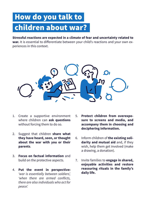## children about war? How do you talk to

**Stressful reactions are expected in a climate of fear and uncertainty related to war.** It is essential to differentiate between your child's reactions and your own experiences in this context.



- 1. Create a supportive environment where children can **ask questions** without forcing them to do so.
- 2. Suggest that children **share what they have heard, seen, or thought about the war with you or their parents**.
- 3. **Focus on factual information** and build on the protective aspects.
- 4. **Put the event in perspective:** *'war is essentially between soldiers', 'when there are armed conflicts, there are also individuals who act for peace'.*
- 5. **Protect children from overexposure to screens and media, and accompany them in choosing and deciphering information.**
- 6. Inform children of **the existing solidarity and mutual aid** and, if they wish, help them get involved (make a drawing, a donation).
- 7. Invite families to **engage in shared, enjoyable activities and restore reassuring rituals in the family's daily life.**